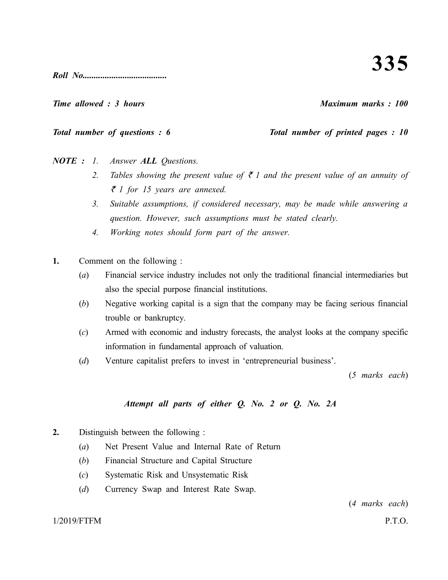*Roll No......................................*

*Time allowed : 3 hours Maximum marks : 100*

*Total number of questions : 6 Total number of printed pages : 10*

*NOTE : 1. Answer ALL Questions.*

- 2. Tables showing the present value of  $\bar{\tau}$  1 and the present value of an annuity of ` *1 for 15 years are annexed.*
- *3. Suitable assumptions, if considered necessary, may be made while answering a question. However, such assumptions must be stated clearly.*
- *4. Working notes should form part of the answer.*
- **1.** Comment on the following :
	- (*a*) Financial service industry includes not only the traditional financial intermediaries but also the special purpose financial institutions.
	- (*b*) Negative working capital is a sign that the company may be facing serious financial trouble or bankruptcy.
	- (*c*) Armed with economic and industry forecasts, the analyst looks at the company specific information in fundamental approach of valuation.
	- (*d*) Venture capitalist prefers to invest in 'entrepreneurial business'.

(*5 marks each*)

# *Attempt all parts of either Q. No. 2 or Q. No. 2A*

- **2.** Distinguish between the following :
	- (*a*) Net Present Value and Internal Rate of Return
	- (*b*) Financial Structure and Capital Structure
	- (*c*) Systematic Risk and Unsystematic Risk
	- (*d*) Currency Swap and Interest Rate Swap.

(*4 marks each*)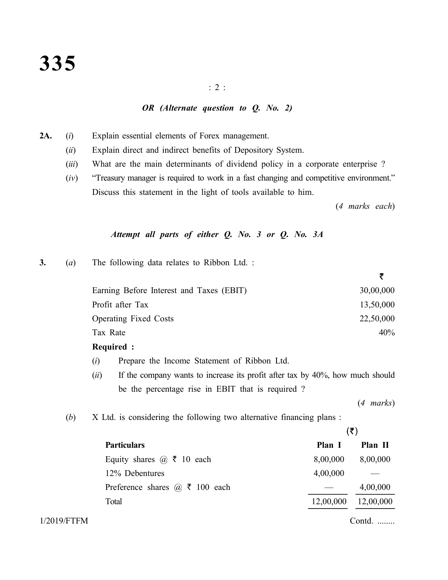### : 2 :

### *OR (Alternate question to Q. No. 2)*

- **2A.** (*i*) Explain essential elements of Forex management.
	- (*ii*) Explain direct and indirect benefits of Depository System.
	- (*iii*) What are the main determinants of dividend policy in a corporate enterprise ?
	- (*iv*) "Treasury manager is required to work in a fast changing and competitive environment." Discuss this statement in the light of tools available to him.

(*4 marks each*)

₹

## *Attempt all parts of either Q. No. 3 or Q. No. 3A*

**3.** (*a*) The following data relates to Ribbon Ltd. :

| Earning Before Interest and Taxes (EBIT) | 30,00,000 |
|------------------------------------------|-----------|
| Profit after Tax                         | 13,50,000 |
| <b>Operating Fixed Costs</b>             | 22,50,000 |
| Tax Rate                                 | 40%       |
|                                          |           |

- **Required :**
- (*i*) Prepare the Income Statement of Ribbon Ltd.
- (*ii*) If the company wants to increase its profit after tax by 40%, how much should be the percentage rise in EBIT that is required ?

(*4 marks*)

(*b*) X Ltd. is considering the following two alternative financing plans :

|                                                    | (₹)       |           |  |  |  |  |  |
|----------------------------------------------------|-----------|-----------|--|--|--|--|--|
| <b>Particulars</b>                                 | Plan I    | Plan II   |  |  |  |  |  |
| Equity shares $\omega \, \bar{\mathbf{x}}$ 10 each | 8,00,000  | 8,00,000  |  |  |  |  |  |
| 12% Debentures                                     | 4,00,000  |           |  |  |  |  |  |
| Preference shares $\omega \bar{\tau}$ 100 each     |           | 4,00,000  |  |  |  |  |  |
| Total                                              | 12,00,000 | 12,00,000 |  |  |  |  |  |
|                                                    |           |           |  |  |  |  |  |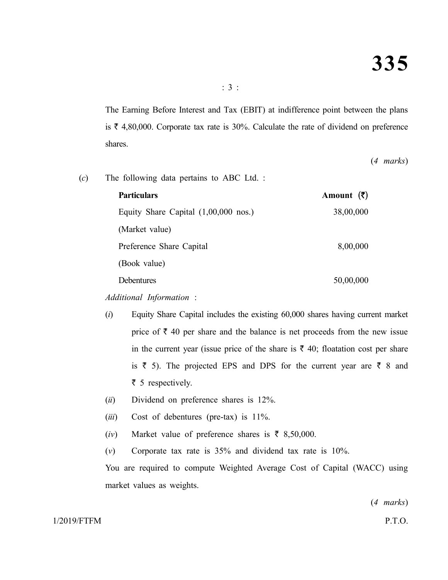The Earning Before Interest and Tax (EBIT) at indifference point between the plans is  $\bar{\tau}$  4,80,000. Corporate tax rate is 30%. Calculate the rate of dividend on preference shares.

(*4 marks*)

| (c) | The following data pertains to ABC Ltd. :      |                       |
|-----|------------------------------------------------|-----------------------|
|     | <b>Particulars</b>                             | Amount $(\bar{\tau})$ |
|     | Equity Share Capital $(1,00,000 \text{ nos.})$ | 38,00,000             |
|     | (Market value)                                 |                       |
|     | Preference Share Capital                       | 8,00,000              |
|     | (Book value)                                   |                       |

Debentures 50,00,000

*Additional Information* :

- (*i*) Equity Share Capital includes the existing 60,000 shares having current market price of  $\bar{\tau}$  40 per share and the balance is net proceeds from the new issue in the current year (issue price of the share is  $\bar{\tau}$  40; floatation cost per share is  $\bar{z}$  5). The projected EPS and DPS for the current year are  $\bar{z}$  8 and  $\bar{\tau}$  5 respectively.
- (*ii*) Dividend on preference shares is 12%.
- (*iii*) Cost of debentures (pre-tax) is 11%.
- (*iv*) Market value of preference shares is  $\bar{\tau}$  8,50,000.
- (*v*) Corporate tax rate is 35% and dividend tax rate is 10%.

You are required to compute Weighted Average Cost of Capital (WACC) using market values as weights.

(*4 marks*)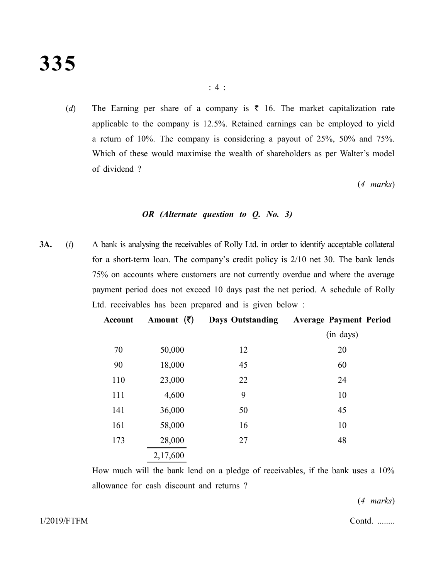(*d*) The Earning per share of a company is  $\bar{\tau}$  16. The market capitalization rate applicable to the company is 12.5%. Retained earnings can be employed to yield a return of 10%. The company is considering a payout of 25%, 50% and 75%. Which of these would maximise the wealth of shareholders as per Walter's model of dividend ?

(*4 marks*)

## *OR (Alternate question to Q. No. 3)*

**3A.** (*i*) A bank is analysing the receivables of Rolly Ltd. in order to identify acceptable collateral for a short-term loan. The company's credit policy is 2/10 net 30. The bank lends 75% on accounts where customers are not currently overdue and where the average payment period does not exceed 10 days past the net period. A schedule of Rolly Ltd. receivables has been prepared and is given below :

| <b>Account</b> | Amount $(\bar{\zeta})$ | <b>Days Outstanding</b> | <b>Average Payment Period</b> |
|----------------|------------------------|-------------------------|-------------------------------|
|                |                        |                         | (in days)                     |
| 70             | 50,000                 | 12                      | 20                            |
| 90             | 18,000                 | 45                      | 60                            |
| 110            | 23,000                 | 22                      | 24                            |
| 111            | 4,600                  | 9                       | 10                            |
| 141            | 36,000                 | 50                      | 45                            |
| 161            | 58,000                 | 16                      | 10                            |
| 173            | 28,000                 | 27                      | 48                            |
|                | 2,17,600               |                         |                               |
|                |                        |                         |                               |

How much will the bank lend on a pledge of receivables, if the bank uses a 10% allowance for cash discount and returns ?

(*4 marks*)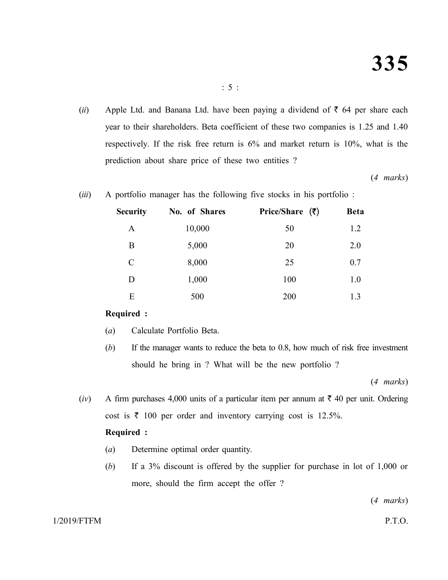(*ii*) Apple Ltd. and Banana Ltd. have been paying a dividend of  $\bar{\tau}$  64 per share each year to their shareholders. Beta coefficient of these two companies is 1.25 and 1.40 respectively. If the risk free return is 6% and market return is 10%, what is the prediction about share price of these two entities ?

(*4 marks*)

(*iii*) A portfolio manager has the following five stocks in his portfolio :

| <b>Security</b> | No. of Shares | Price/Share $(3)$ | <b>Beta</b> |
|-----------------|---------------|-------------------|-------------|
| A               | 10,000        | 50                | 1.2         |
| B               | 5,000         | 20                | 2.0         |
| C               | 8,000         | 25                | 0.7         |
| D               | 1,000         | 100               | 1.0         |
| E               | 500           | 200               | 1.3         |

## **Required :**

- (*a*) Calculate Portfolio Beta.
- (*b*) If the manager wants to reduce the beta to 0.8, how much of risk free investment should he bring in ? What will be the new portfolio ?

(*4 marks*)

(*iv*) A firm purchases 4,000 units of a particular item per annum at  $\bar{\tau}$  40 per unit. Ordering cost is  $\bar{\tau}$  100 per order and inventory carrying cost is 12.5%. **Required :**

- (*a*) Determine optimal order quantity.
- (*b*) If a 3% discount is offered by the supplier for purchase in lot of 1,000 or more, should the firm accept the offer ?

(*4 marks*)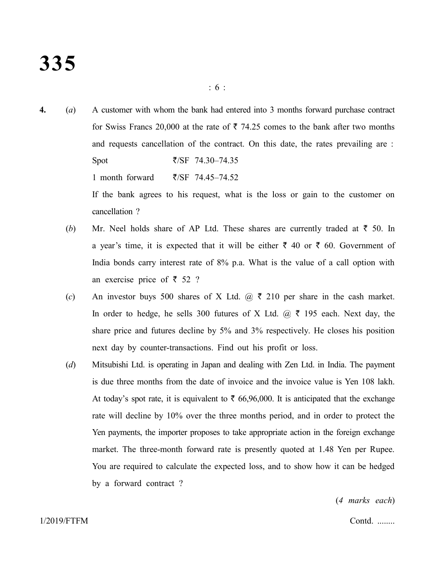- **4.** (*a*) A customer with whom the bank had entered into 3 months forward purchase contract for Swiss Francs 20,000 at the rate of  $\bar{\tau}$  74.25 comes to the bank after two months and requests cancellation of the contract. On this date, the rates prevailing are : Spot  $\overline{z}/SF$  74.30–74.35 1 month forward  $\bar{\zeta}$ SF 74.45–74.52 If the bank agrees to his request, what is the loss or gain to the customer on cancellation ?
	- (b) Mr. Neel holds share of AP Ltd. These shares are currently traded at  $\bar{z}$  50. In a year's time, it is expected that it will be either  $\bar{\tau}$  40 or  $\bar{\tau}$  60. Government of India bonds carry interest rate of 8% p.a. What is the value of a call option with an exercise price of  $\bar{\tau}$  52 ?
	- (*c*) An investor buys 500 shares of X Ltd.  $\omega \neq 210$  per share in the cash market. In order to hedge, he sells 300 futures of X Ltd.  $\omega \neq 195$  each. Next day, the share price and futures decline by 5% and 3% respectively. He closes his position next day by counter-transactions. Find out his profit or loss.
	- (*d*) Mitsubishi Ltd. is operating in Japan and dealing with Zen Ltd. in India. The payment is due three months from the date of invoice and the invoice value is Yen 108 lakh. At today's spot rate, it is equivalent to  $\bar{\tau}$  66,96,000. It is anticipated that the exchange rate will decline by 10% over the three months period, and in order to protect the Yen payments, the importer proposes to take appropriate action in the foreign exchange market. The three-month forward rate is presently quoted at 1.48 Yen per Rupee. You are required to calculate the expected loss, and to show how it can be hedged by a forward contract ?

(*4 marks each*)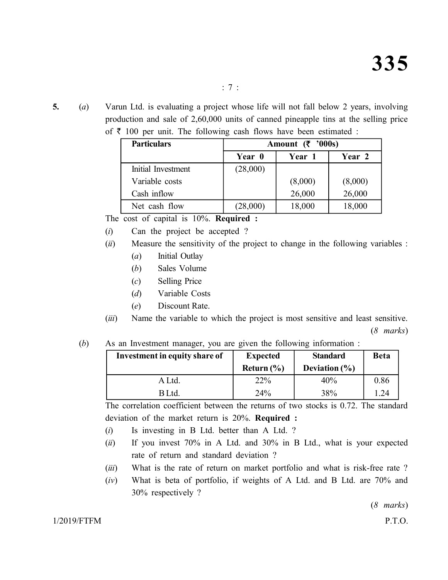**5.** (*a*) Varun Ltd. is evaluating a project whose life will not fall below 2 years, involving production and sale of 2,60,000 units of canned pineapple tins at the selling price

| <b>Particulars</b> | Amount $(\bar{\mathbf{\zeta}}$ '000s) |         |         |  |  |  |  |  |  |  |
|--------------------|---------------------------------------|---------|---------|--|--|--|--|--|--|--|
|                    | Year 0                                | Year 1  | Year 2  |  |  |  |  |  |  |  |
| Initial Investment | (28,000)                              |         |         |  |  |  |  |  |  |  |
| Variable costs     |                                       | (8,000) | (8,000) |  |  |  |  |  |  |  |
| Cash inflow        |                                       | 26,000  | 26,000  |  |  |  |  |  |  |  |
| Net cash flow      | (28,000)                              | 18,000  | 18,000  |  |  |  |  |  |  |  |

of  $\bar{\tau}$  100 per unit. The following cash flows have been estimated :

The cost of capital is 10%. **Required :**

(*i*) Can the project be accepted ?

- (*ii*) Measure the sensitivity of the project to change in the following variables :
	- (*a*) Initial Outlay
	- (*b*) Sales Volume
	- (*c*) Selling Price
	- (*d*) Variable Costs
	- (*e*) Discount Rate.

(*iii*) Name the variable to which the project is most sensitive and least sensitive. (*8 marks*)

# (*b*) As an Investment manager, you are given the following information :

| Investment in equity share of | <b>Expected</b> | <b>Standard</b>   | <b>Beta</b>     |
|-------------------------------|-----------------|-------------------|-----------------|
|                               | Return $(\% )$  | Deviation $(\% )$ |                 |
| A Ltd.                        | 22%             | 40%               | 0.86            |
| B Ltd.                        | 24%             | 38%               | $\overline{24}$ |

The correlation coefficient between the returns of two stocks is 0.72. The standard deviation of the market return is 20%. **Required :**

- (*i*) Is investing in B Ltd. better than A Ltd. ?
- (*ii*) If you invest 70% in A Ltd. and 30% in B Ltd., what is your expected rate of return and standard deviation ?
- (*iii*) What is the rate of return on market portfolio and what is risk-free rate ?
- (*iv*) What is beta of portfolio, if weights of A Ltd. and B Ltd. are 70% and 30% respectively ?

(*8 marks*)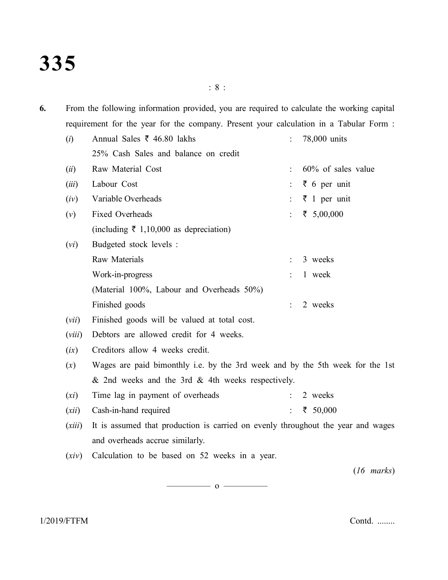: 8 :

**6.** From the following information provided, you are required to calculate the working capital requirement for the year for the company. Present your calculation in a Tabular Form :

| (i)    | Annual Sales ₹ 46.80 lakhs                                                       | 78,000 units                |
|--------|----------------------------------------------------------------------------------|-----------------------------|
|        | 25% Cash Sales and balance on credit                                             |                             |
| (ii)   | Raw Material Cost                                                                | 60% of sales value          |
| (iii)  | Labour Cost                                                                      | $\bar{z}$ 6 per unit        |
| (iv)   | Variable Overheads                                                               | $\overline{\xi}$ 1 per unit |
| (v)    | Fixed Overheads                                                                  | ₹ 5,00,000                  |
|        | (including $\bar{\tau}$ 1,10,000 as depreciation)                                |                             |
| (vi)   | Budgeted stock levels :                                                          |                             |
|        | Raw Materials                                                                    | 3 weeks                     |
|        | Work-in-progress                                                                 | 1 week                      |
|        | (Material 100%, Labour and Overheads 50%)                                        |                             |
|        | Finished goods                                                                   | 2 weeks                     |
| (vii)  | Finished goods will be valued at total cost.                                     |                             |
| (viii) | Debtors are allowed credit for 4 weeks.                                          |                             |
| (ix)   | Creditors allow 4 weeks credit.                                                  |                             |
| (x)    | Wages are paid bimonthly i.e. by the 3rd week and by the 5th week for the 1st    |                             |
|        | & 2nd weeks and the 3rd & 4th weeks respectively.                                |                             |
| (xi)   | Time lag in payment of overheads                                                 | 2 weeks                     |
| (xii)  | Cash-in-hand required                                                            | ₹ 50,000                    |
| (xiii) | It is assumed that production is carried on evenly throughout the year and wages |                             |
|        | and overheads accrue similarly.                                                  |                             |
| (xiv)  | Calculation to be based on 52 weeks in a year.                                   |                             |
|        |                                                                                  | $(16 \text{ marks})$        |

 $\overline{\hspace{1em}}$  0  $\overline{\hspace{1em}}$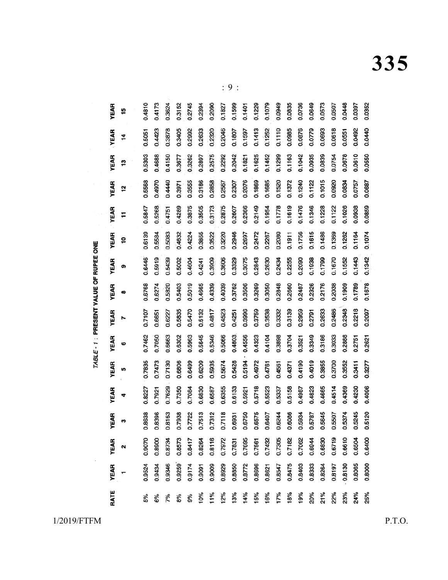| <b>YEAR</b> | 15 | 0.4810 | 0.4173 | 0.3624 | 0.3152 | 0.2745 | 0.2394 | 0.2090 | 0.1827 | 0.1599 | 0.1401 | 0.1229 | 0.1079 | 0.0949 | 0.0835 | 0.0736 | 0.0649 | 0.0573 | 0.0507 | 0.0448 | 0.0397 | 0.0352 |
|-------------|----|--------|--------|--------|--------|--------|--------|--------|--------|--------|--------|--------|--------|--------|--------|--------|--------|--------|--------|--------|--------|--------|
| YEAR        | 14 | 0.5051 | 0.4423 | 0.3878 | 0.3405 | 0.2992 | 0.2633 | 0.2320 | 0.2046 | 0.1807 | 0.1597 | 0.1413 | 0.1252 | 0.1110 | 0.0985 | 0.0876 | 0.0779 | 0.0693 | 0.0618 | 0.0551 | 0.0492 | 0.0440 |
| <b>YEAR</b> | 13 | 0.5303 | 0.4688 | 0.4150 | 0.3677 | 0.3262 | 0.2897 | 0.2575 | 0.2292 | 0.2042 | 0.1821 | 0.1625 | 0.1452 | 0.1299 | 0.1163 | 0.1042 | 0.0935 | 0.0839 | 0.0754 | 0.0678 | 0.0610 | 0.0550 |
| <b>YEAR</b> | 12 | 0.5568 | 0.4970 | 0.4440 | 0.3971 | 0.3555 | 0.3186 | 0.2858 | 0.2567 | 0.2307 | 0.2076 | 0.1869 | 0.1685 | 0.1520 | 0.1372 | 0.1240 | 0.1122 | 0.1015 | 0.0920 | 0.0834 | 0.0757 | 0.0687 |
| <b>YEAR</b> | Ŧ  | 0.5847 | 0.5268 | 0.4751 | 0.4289 | 0.3875 | 0.3505 | 0.3173 | 0.2875 | 0.2607 | 0.2366 | 0.2149 | 0.1954 | 0.1778 | 0.1619 | 0.1476 | 0.1346 | 0.1228 | 0.1122 | 0.1026 | 0.0938 | 0.0859 |
| YEAR        | ä  | 0.6139 | 0.5584 | 0.5083 | 0.4632 | 0.4224 | 0.3855 | 0.3522 | 0.3220 | 0.2946 | 0.2697 | 0.2472 | 0.2267 | 0.2080 | 0.1911 | 0.1756 | 0.1615 | 0.1486 | 0.1369 | 0.1262 | 0.1164 | 0.1074 |
| YEAR        | စ  | 0.6446 | 0.5919 | 0.5439 | 0.5002 | 0.4604 | 0.4241 | 0.3909 | 0.3606 | 0.3329 | 0.3075 | 0.2843 | 0.2630 | 0.2434 | 0.2255 | 0.2090 | 0.1938 | 0.1799 | 0.1670 | 0.1552 | 0.1443 | 0.1342 |
| YEAR        | œ  | 0.6768 | 0.6274 | 0.5820 | 0.5403 | 0.5019 | 0.4665 | 0.4339 | 0.4039 | 0.3762 | 0.3506 | 0.3269 | 0.3050 | 0.2848 | 0.2660 | 0.2487 | 0.2326 | 0.2176 | 0.2038 | 0.1909 | 0.1789 | 0.1678 |
| YEAR        | r  | 0.7107 | 0.6651 | 0.6227 | 0.5835 | 0.5470 | 0.5132 | 0.4817 | 0.4523 | 0.4251 | 0.3996 | 0.3759 | 0.3538 | 0.3332 | 0.3139 | 0.2959 | 0.2791 | 0.2633 | 0.2486 | 0.2348 | 0.2218 | 0.2097 |
| YEAR        | ဖ  | 0.7462 | 0.7050 | 0.6663 | 0.6302 | 0.5963 | 0.5645 | 0.5346 | 0.5066 | 0.4803 | 0.4556 | 0.4323 | 0.4104 | 0.3898 | 0.3704 | 0.3521 | 0.3349 | 0.3186 | 0.3033 | 0.2888 | 0.2751 | 0.2621 |
| <b>YEAR</b> | n  | 0.7835 | 0.7473 | 0.7130 | 0.6806 | 0.6499 | 0.6209 | 0.5935 | 0.5674 | 0.5428 | 0.5194 | 0.4972 | 0.4761 | 0.4561 | 0.4371 | 0.4190 | 0.4019 | 0.3855 | 0.3700 | 0.3552 | 0.3411 | 0.3277 |
| <b>YEAR</b> | 4  | 0.8227 | 0.7921 | 0.7629 | 0.7350 | 0.7084 | 0.6830 | 0.6587 | 0.6355 | 0.6133 | 0.5921 | 0.5718 | 0.5523 | 0.5337 | 0.5158 | 0.4987 | 0.4823 | 0.4665 | 0.4514 | 0.4369 | 0.4230 | 0.4096 |
| <b>YEAR</b> | 3  | 0.8638 | 0.8396 | 0.8163 | 0.7938 | 0.7722 | 0.7513 | 0.7312 | 0.7118 | 0.6931 | 0.6750 | 0.6575 | 0.6407 | 0.6244 | 0.6086 | 0.5934 | 0.5787 | 0.5645 | 0.5507 | 0.5374 | 0.5245 | 0.5120 |
| <b>YEAR</b> | 2  | 0.9070 | 0.8900 | 0.8734 | 0.8573 | 0.8417 | 0.8264 | 0.8116 | 0.7972 | 0.7831 | 0.7695 | 0.7561 | 0.7432 | 0.7305 | 0.7182 | 0.7062 | 0.6944 | 0.6830 | 0.6719 | 0.6610 | 0.6504 | 0.6400 |
| <b>YEAR</b> |    | 0.9524 | 0.9434 | 0.9346 | 0.9259 | 0.9174 | 0.9091 | 0.9009 | 0.8929 | 0.8850 | 0.8772 | 0.8696 | 0.8621 | 0.8547 | 0.8475 | 0.8403 | 0.8333 | 0.8264 | 0.8197 | 0.8130 | 0.8065 | 0.8000 |
| RATE        |    | 5%     | 6%     | 7%     | 8%     | 9%     | 10%    | 11%    | 12%    | 13%    | 14%    | 15%    | 16%    | 17%    | 18%    | 19%    | 20%    | 21%    | 22%    | 23%    | 24%    | 25%    |

 $: 9:$ 

1/2019/FTFM

 $P.T.O.$